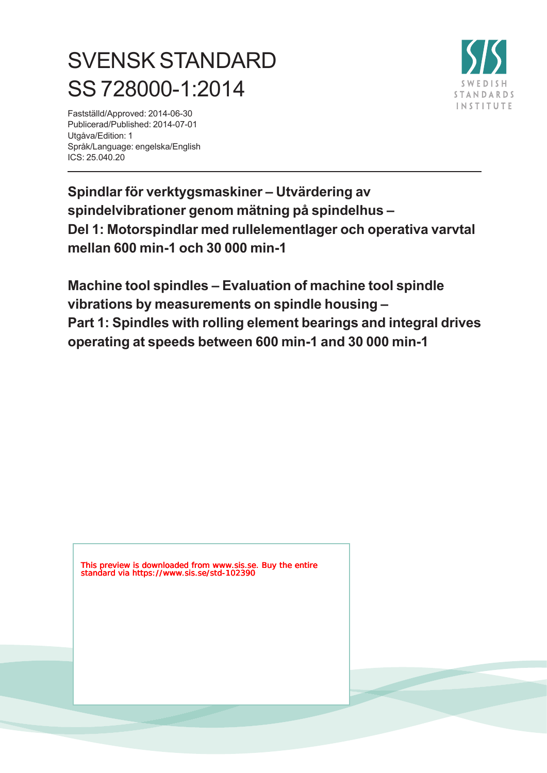# SVENSK STANDARD SS 728000-1:2014

**STANDARDS INSTITUTE** 

Fastställd/Approved: 2014-06-30 Publicerad/Published: 2014-07-01 Utgåva/Edition: 1 Språk/Language: engelska/English ICS: 25.040.20

**Spindlar för verktygsmaskiner – Utvärdering av spindelvibrationer genom mätning på spindelhus – Del 1: Motorspindlar med rullelementlager och operativa varvtal mellan 600 min-1 och 30 000 min-1**

**Machine tool spindles – Evaluation of machine tool spindle vibrations by measurements on spindle housing – Part 1: Spindles with rolling element bearings and integral drives operating at speeds between 600 min-1 and 30 000 min-1**

This preview is downloaded from www.sis.se. Buy the entire standard via https://www.sis.se/std-102390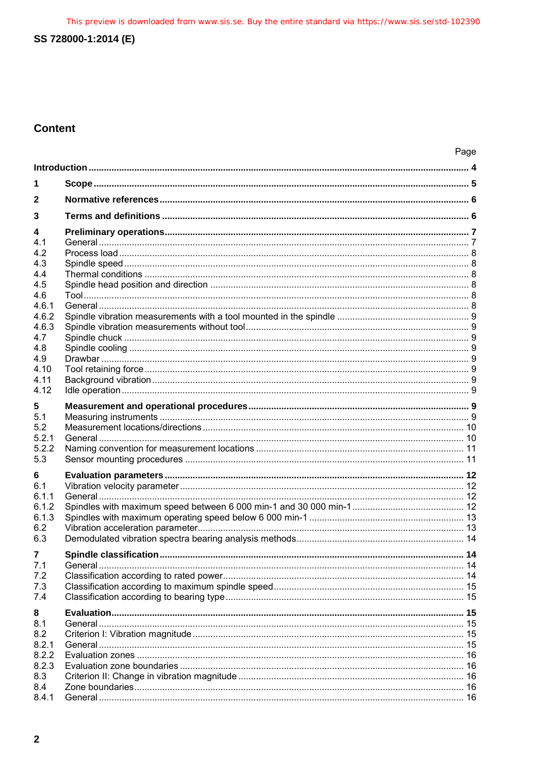This preview is downloaded from www.sis.se. Buy the entire standard via https://www.sis.se/std-102390

# SS 728000-1:2014 (E)

# **Content**

|                | Page |  |
|----------------|------|--|
|                |      |  |
| 1              |      |  |
| 2              |      |  |
| 3              |      |  |
| 4              |      |  |
| 4.1            |      |  |
| 4.2            |      |  |
| 4.3            |      |  |
| 4.4            |      |  |
| 4.5            |      |  |
| 4.6            |      |  |
| 4.6.1          |      |  |
| 4.6.2<br>4.6.3 |      |  |
| 4.7            |      |  |
| 4.8            |      |  |
| 4.9            |      |  |
| 4.10           |      |  |
| 4.11           |      |  |
| 4.12           |      |  |
|                |      |  |
| 5<br>5.1       |      |  |
| 5.2            |      |  |
| 5.2.1          |      |  |
| 5.2.2          |      |  |
| 5.3            |      |  |
|                |      |  |
| 6<br>6.1       |      |  |
| 6.1.1          |      |  |
| 6.1.2          |      |  |
| 6.1.3          |      |  |
| 6.2            |      |  |
| 6.3            |      |  |
| 7              |      |  |
| 7.1            |      |  |
| 7.2            |      |  |
| 7.3            |      |  |
| 7.4            |      |  |
|                |      |  |
| 8              |      |  |
| 8.1<br>8.2     |      |  |
| 8.2.1          |      |  |
| 8.2.2          |      |  |
| 8.2.3          |      |  |
| 8.3            |      |  |
| 8.4            |      |  |
| 8.4.1          |      |  |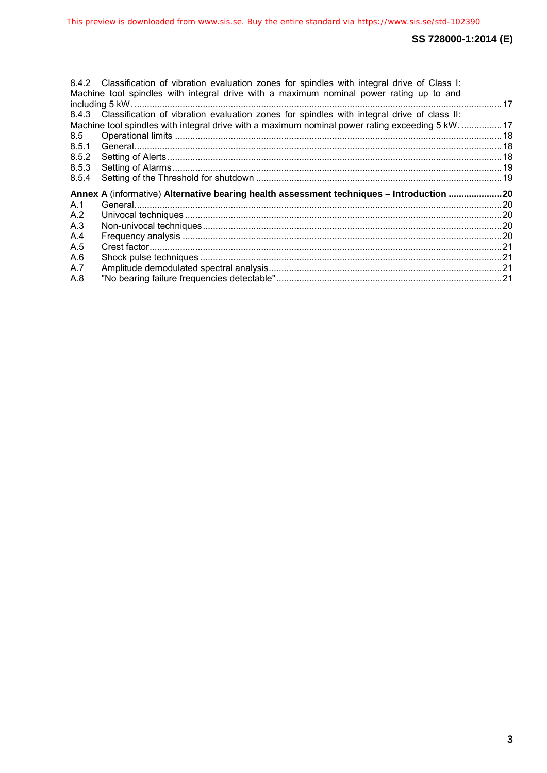|                                                                                          | 8.4.2 Classification of vibration evaluation zones for spindles with integral drive of Class I:<br>Machine tool spindles with integral drive with a maximum nominal power rating up to and |  |
|------------------------------------------------------------------------------------------|--------------------------------------------------------------------------------------------------------------------------------------------------------------------------------------------|--|
|                                                                                          | 8.4.3 Classification of vibration evaluation zones for spindles with integral drive of class II:                                                                                           |  |
|                                                                                          | Machine tool spindles with integral drive with a maximum nominal power rating exceeding 5 kW17                                                                                             |  |
| 8.5                                                                                      |                                                                                                                                                                                            |  |
| 8.5.1                                                                                    |                                                                                                                                                                                            |  |
| 8.5.2                                                                                    |                                                                                                                                                                                            |  |
| 8.5.3                                                                                    |                                                                                                                                                                                            |  |
| 8.5.4                                                                                    |                                                                                                                                                                                            |  |
| Annex A (informative) Alternative bearing health assessment techniques - Introduction 20 |                                                                                                                                                                                            |  |
| A.1                                                                                      |                                                                                                                                                                                            |  |
| A.2                                                                                      |                                                                                                                                                                                            |  |
| A.3                                                                                      |                                                                                                                                                                                            |  |
| A.4                                                                                      |                                                                                                                                                                                            |  |
| A.5                                                                                      |                                                                                                                                                                                            |  |
| A.6                                                                                      |                                                                                                                                                                                            |  |
| A.7                                                                                      |                                                                                                                                                                                            |  |
| A.8                                                                                      |                                                                                                                                                                                            |  |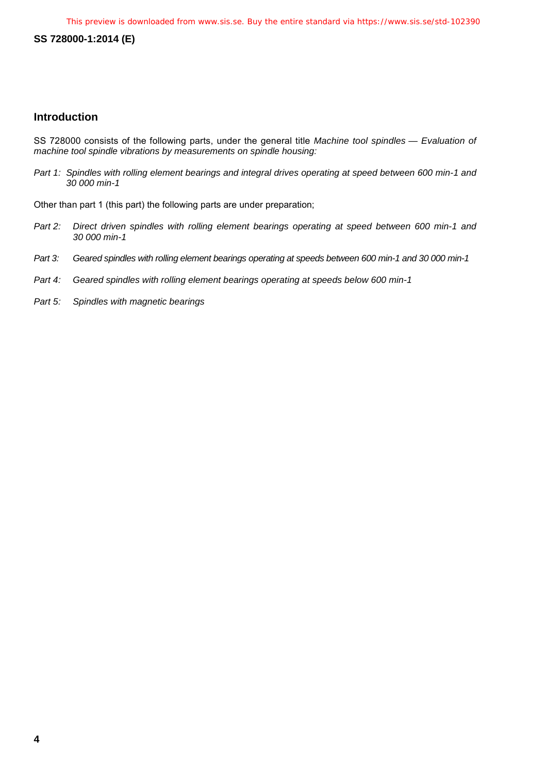# <span id="page-3-0"></span>**Introduction**

SS 728000 consists of the following parts, under the general title *Machine tool spindles — Evaluation of machine tool spindle vibrations by measurements on spindle housing:*

*Part 1: Spindles with rolling element bearings and integral drives operating at speed between 600 min-1 and 30 000 min-1* 

Other than part 1 (this part) the following parts are under preparation;

- *Part 2: Direct driven spindles with rolling element bearings operating at speed between 600 min-1 and 30 000 min-1*
- *Part 3: Geared spindles with rolling element bearings operating at speeds between 600 min-1 and 30 000 min-1*
- *Part 4: Geared spindles with rolling element bearings operating at speeds below 600 min-1*
- *Part 5: Spindles with magnetic bearings*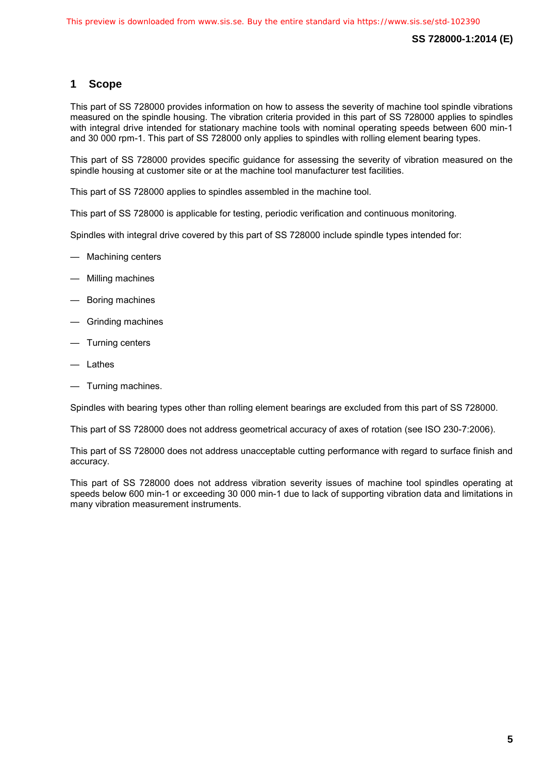# <span id="page-4-0"></span>**1 Scope**

This part of SS 728000 provides information on how to assess the severity of machine tool spindle vibrations measured on the spindle housing. The vibration criteria provided in this part of SS 728000 applies to spindles with integral drive intended for stationary machine tools with nominal operating speeds between 600 min-1 and 30 000 rpm-1. This part of SS 728000 only applies to spindles with rolling element bearing types.

This part of SS 728000 provides specific guidance for assessing the severity of vibration measured on the spindle housing at customer site or at the machine tool manufacturer test facilities.

This part of SS 728000 applies to spindles assembled in the machine tool.

This part of SS 728000 is applicable for testing, periodic verification and continuous monitoring.

Spindles with integral drive covered by this part of SS 728000 include spindle types intended for:

- Machining centers
- Milling machines
- Boring machines
- Grinding machines
- Turning centers
- Lathes
- Turning machines.

Spindles with bearing types other than rolling element bearings are excluded from this part of SS 728000.

This part of SS 728000 does not address geometrical accuracy of axes of rotation (see ISO 230-7:2006).

This part of SS 728000 does not address unacceptable cutting performance with regard to surface finish and accuracy.

This part of SS 728000 does not address vibration severity issues of machine tool spindles operating at speeds below 600 min-1 or exceeding 30 000 min-1 due to lack of supporting vibration data and limitations in many vibration measurement instruments.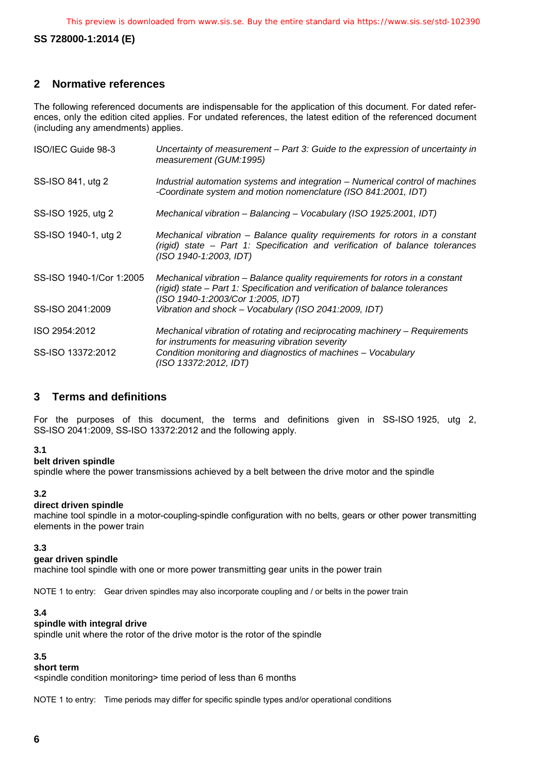# <span id="page-5-0"></span>**2 Normative references**

The following referenced documents are indispensable for the application of this document. For dated references, only the edition cited applies. For undated references, the latest edition of the referenced document (including any amendments) applies.

| ISO/IEC Guide 98-3       | Uncertainty of measurement - Part 3: Guide to the expression of uncertainty in<br>measurement (GUM:1995)                                                                                          |
|--------------------------|---------------------------------------------------------------------------------------------------------------------------------------------------------------------------------------------------|
| SS-ISO 841, utg 2        | Industrial automation systems and integration – Numerical control of machines<br>-Coordinate system and motion nomenclature (ISO 841:2001, IDT)                                                   |
| SS-ISO 1925, utg 2       | Mechanical vibration - Balancing - Vocabulary (ISO 1925:2001, IDT)                                                                                                                                |
| SS-ISO 1940-1, utg 2     | Mechanical vibration – Balance quality requirements for rotors in a constant<br>(rigid) state – Part 1: Specification and verification of balance tolerances<br>(ISO 1940-1:2003, IDT)            |
| SS-ISO 1940-1/Cor 1:2005 | Mechanical vibration – Balance quality requirements for rotors in a constant<br>(rigid) state - Part 1: Specification and verification of balance tolerances<br>(ISO 1940-1:2003/Cor 1:2005, IDT) |
| SS-ISO 2041:2009         | Vibration and shock - Vocabulary (ISO 2041:2009, IDT)                                                                                                                                             |
| ISO 2954:2012            | Mechanical vibration of rotating and reciprocating machinery – Requirements<br>for instruments for measuring vibration severity                                                                   |
| SS-ISO 13372:2012        | Condition monitoring and diagnostics of machines – Vocabulary<br>(ISO 13372:2012, IDT)                                                                                                            |

# <span id="page-5-1"></span>**3 Terms and definitions**

For the purposes of this document, the terms and definitions given in SS-ISO 1925, utg 2, SS-ISO 2041:2009, SS-ISO 13372:2012 and the following apply.

#### **3.1**

**belt driven spindle**

spindle where the power transmissions achieved by a belt between the drive motor and the spindle

#### **3.2**

#### **direct driven spindle**

machine tool spindle in a motor-coupling-spindle configuration with no belts, gears or other power transmitting elements in the power train

#### **3.3**

#### **gear driven spindle**

machine tool spindle with one or more power transmitting gear units in the power train

NOTE 1 to entry: Gear driven spindles may also incorporate coupling and / or belts in the power train

#### **3.4**

#### **spindle with integral drive**

spindle unit where the rotor of the drive motor is the rotor of the spindle

#### **3.5**

# **short term**

<spindle condition monitoring> time period of less than 6 months

NOTE 1 to entry: Time periods may differ for specific spindle types and/or operational conditions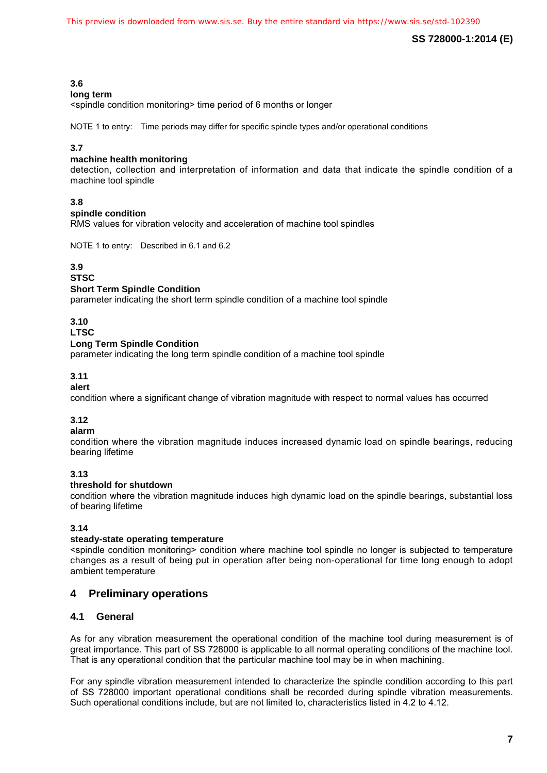# **3.6**

#### **long term**

<spindle condition monitoring> time period of 6 months or longer

NOTE 1 to entry: Time periods may differ for specific spindle types and/or operational conditions

# **3.7**

#### **machine health monitoring**

detection, collection and interpretation of information and data that indicate the spindle condition of a machine tool spindle

# **3.8**

#### **spindle condition**

RMS values for vibration velocity and acceleration of machine tool spindles

NOTE 1 to entry: Described in 6.1 and 6.2

#### **3.9**

**STSC**

#### **Short Term Spindle Condition**

parameter indicating the short term spindle condition of a machine tool spindle

#### **3.10**

#### **LTSC**

# **Long Term Spindle Condition**

parameter indicating the long term spindle condition of a machine tool spindle

# **3.11**

#### **alert**

condition where a significant change of vibration magnitude with respect to normal values has occurred

# **3.12**

#### **alarm**

condition where the vibration magnitude induces increased dynamic load on spindle bearings, reducing bearing lifetime

# **3.13**

#### **threshold for shutdown**

condition where the vibration magnitude induces high dynamic load on the spindle bearings, substantial loss of bearing lifetime

# **3.14**

#### **steady-state operating temperature**

<spindle condition monitoring> condition where machine tool spindle no longer is subjected to temperature changes as a result of being put in operation after being non-operational for time long enough to adopt ambient temperature

# <span id="page-6-0"></span>**4 Preliminary operations**

# <span id="page-6-1"></span>**4.1 General**

As for any vibration measurement the operational condition of the machine tool during measurement is of great importance. This part of SS 728000 is applicable to all normal operating conditions of the machine tool. That is any operational condition that the particular machine tool may be in when machining.

For any spindle vibration measurement intended to characterize the spindle condition according to this part of SS 728000 important operational conditions shall be recorded during spindle vibration measurements. Such operational conditions include, but are not limited to, characteristics listed in [4.2](#page-7-0) to [4.12.](#page-8-7)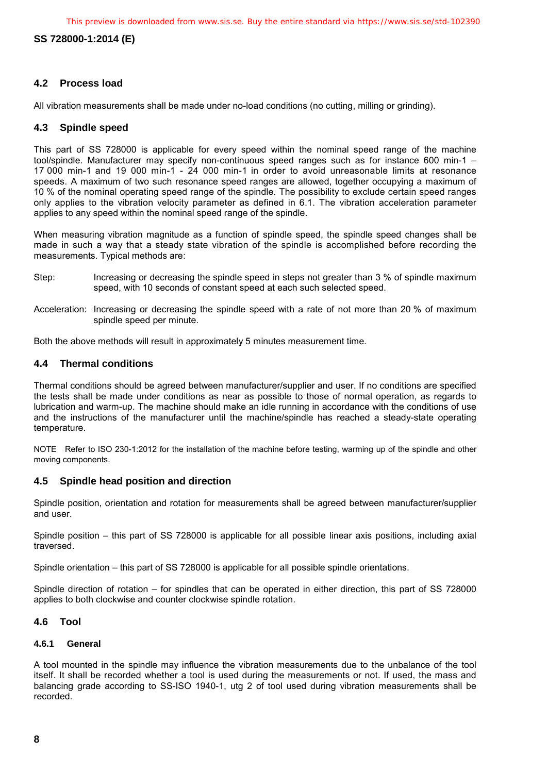This preview is downloaded from www.sis.se. Buy the entire standard via https://www.sis.se/std-102390

# **SS 728000-1:2014 (E)**

# <span id="page-7-0"></span>**4.2 Process load**

All vibration measurements shall be made under no-load conditions (no cutting, milling or grinding).

# <span id="page-7-1"></span>**4.3 Spindle speed**

This part of SS 728000 is applicable for every speed within the nominal speed range of the machine tool/spindle. Manufacturer may specify non-continuous speed ranges such as for instance 600 min-1 – 17 000 min-1 and 19 000 min-1 - 24 000 min-1 in order to avoid unreasonable limits at resonance speeds. A maximum of two such resonance speed ranges are allowed, together occupying a maximum of 10 % of the nominal operating speed range of the spindle. The possibility to exclude certain speed ranges only applies to the vibration velocity parameter as defined in [6.1.](#page--1-0) The vibration acceleration parameter applies to any speed within the nominal speed range of the spindle.

When measuring vibration magnitude as a function of spindle speed, the spindle speed changes shall be made in such a way that a steady state vibration of the spindle is accomplished before recording the measurements. Typical methods are:

- Step: Increasing or decreasing the spindle speed in steps not greater than 3 % of spindle maximum speed, with 10 seconds of constant speed at each such selected speed.
- Acceleration: Increasing or decreasing the spindle speed with a rate of not more than 20 % of maximum spindle speed per minute.

Both the above methods will result in approximately 5 minutes measurement time.

# <span id="page-7-2"></span>**4.4 Thermal conditions**

Thermal conditions should be agreed between manufacturer/supplier and user. If no conditions are specified the tests shall be made under conditions as near as possible to those of normal operation, as regards to lubrication and warm-up. The machine should make an idle running in accordance with the conditions of use and the instructions of the manufacturer until the machine/spindle has reached a steady-state operating temperature.

NOTE Refer to ISO 230-1:2012 for the installation of the machine before testing, warming up of the spindle and other moving components.

# <span id="page-7-3"></span>**4.5 Spindle head position and direction**

Spindle position, orientation and rotation for measurements shall be agreed between manufacturer/supplier and user.

Spindle position – this part of SS 728000 is applicable for all possible linear axis positions, including axial traversed.

Spindle orientation – this part of SS 728000 is applicable for all possible spindle orientations.

Spindle direction of rotation – for spindles that can be operated in either direction, this part of SS 728000 applies to both clockwise and counter clockwise spindle rotation.

# <span id="page-7-4"></span>**4.6 Tool**

#### <span id="page-7-5"></span>**4.6.1 General**

A tool mounted in the spindle may influence the vibration measurements due to the unbalance of the tool itself. It shall be recorded whether a tool is used during the measurements or not. If used, the mass and balancing grade according to SS-ISO 1940-1, utg 2 of tool used during vibration measurements shall be recorded.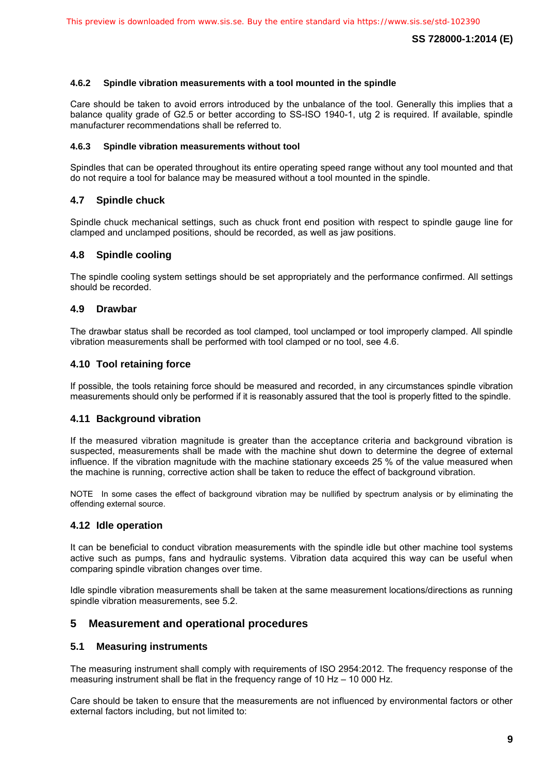#### <span id="page-8-0"></span>**4.6.2 Spindle vibration measurements with a tool mounted in the spindle**

Care should be taken to avoid errors introduced by the unbalance of the tool. Generally this implies that a balance quality grade of G2.5 or better according to SS-ISO 1940-1, utg 2 is required. If available, spindle manufacturer recommendations shall be referred to.

#### <span id="page-8-1"></span>**4.6.3 Spindle vibration measurements without tool**

Spindles that can be operated throughout its entire operating speed range without any tool mounted and that do not require a tool for balance may be measured without a tool mounted in the spindle.

# <span id="page-8-2"></span>**4.7 Spindle chuck**

Spindle chuck mechanical settings, such as chuck front end position with respect to spindle gauge line for clamped and unclamped positions, should be recorded, as well as jaw positions.

# <span id="page-8-3"></span>**4.8 Spindle cooling**

The spindle cooling system settings should be set appropriately and the performance confirmed. All settings should be recorded.

# <span id="page-8-4"></span>**4.9 Drawbar**

The drawbar status shall be recorded as tool clamped, tool unclamped or tool improperly clamped. All spindle vibration measurements shall be performed with tool clamped or no tool, see [4.6.](#page-7-4)

# <span id="page-8-5"></span>**4.10 Tool retaining force**

If possible, the tools retaining force should be measured and recorded, in any circumstances spindle vibration measurements should only be performed if it is reasonably assured that the tool is properly fitted to the spindle.

# <span id="page-8-6"></span>**4.11 Background vibration**

If the measured vibration magnitude is greater than the acceptance criteria and background vibration is suspected, measurements shall be made with the machine shut down to determine the degree of external influence. If the vibration magnitude with the machine stationary exceeds 25 % of the value measured when the machine is running, corrective action shall be taken to reduce the effect of background vibration.

NOTE In some cases the effect of background vibration may be nullified by spectrum analysis or by eliminating the offending external source.

# <span id="page-8-7"></span>**4.12 Idle operation**

It can be beneficial to conduct vibration measurements with the spindle idle but other machine tool systems active such as pumps, fans and hydraulic systems. Vibration data acquired this way can be useful when comparing spindle vibration changes over time.

Idle spindle vibration measurements shall be taken at the same measurement locations/directions as running spindle vibration measurements, see [5.2.](#page-9-2)

# <span id="page-8-8"></span>**5 Measurement and operational procedures**

#### <span id="page-8-9"></span>**5.1 Measuring instruments**

The measuring instrument shall comply with requirements of ISO 2954:2012. The frequency response of the measuring instrument shall be flat in the frequency range of 10 Hz – 10 000 Hz.

Care should be taken to ensure that the measurements are not influenced by environmental factors or other external factors including, but not limited to: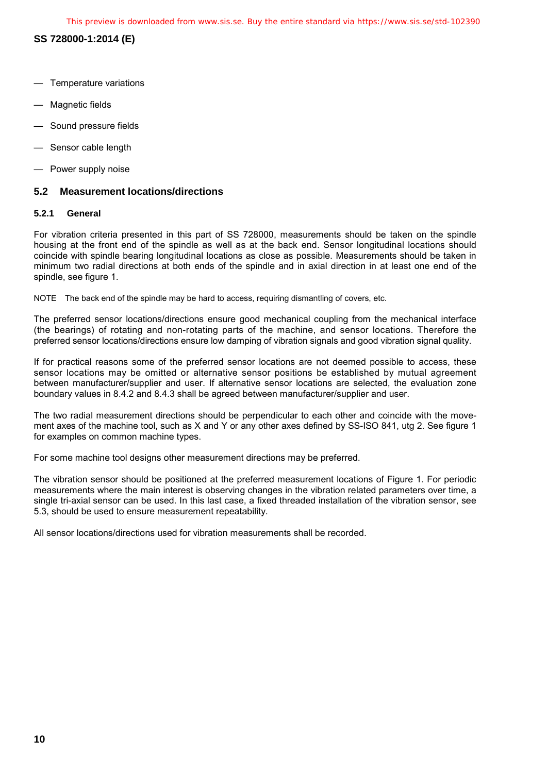This preview is downloaded from www.sis.se. Buy the entire standard via https://www.sis.se/std-102390

**SS 728000-1:2014 (E)** 

- Temperature variations
- Magnetic fields
- Sound pressure fields
- Sensor cable length
- Power supply noise

# <span id="page-9-2"></span><span id="page-9-0"></span>**5.2 Measurement locations/directions**

#### <span id="page-9-1"></span>**5.2.1 General**

For vibration criteria presented in this part of SS 728000, measurements should be taken on the spindle housing at the front end of the spindle as well as at the back end. Sensor longitudinal locations should coincide with spindle bearing longitudinal locations as close as possible. Measurements should be taken in minimum two radial directions at both ends of the spindle and in axial direction in at least one end of the spindle, see figure 1.

NOTE The back end of the spindle may be hard to access, requiring dismantling of covers, etc.

The preferred sensor locations/directions ensure good mechanical coupling from the mechanical interface (the bearings) of rotating and non-rotating parts of the machine, and sensor locations. Therefore the preferred sensor locations/directions ensure low damping of vibration signals and good vibration signal quality.

If for practical reasons some of the preferred sensor locations are not deemed possible to access, these sensor locations may be omitted or alternative sensor positions be established by mutual agreement between manufacturer/supplier and user. If alternative sensor locations are selected, the evaluation zone boundary values in [8.4.2](#page--1-0) and [8.4.3](#page--1-0) shall be agreed between manufacturer/supplier and user.

The two radial measurement directions should be perpendicular to each other and coincide with the movement axes of the machine tool, such as X and Y or any other axes defined by SS-ISO 841, utg 2. See figure 1 for examples on common machine types.

For some machine tool designs other measurement directions may be preferred.

The vibration sensor should be positioned at the preferred measurement locations of Figure 1. For periodic measurements where the main interest is observing changes in the vibration related parameters over time, a single tri-axial sensor can be used. In this last case, a fixed threaded installation of the vibration sensor, see [5.3,](#page-10-1) should be used to ensure measurement repeatability.

All sensor locations/directions used for vibration measurements shall be recorded.